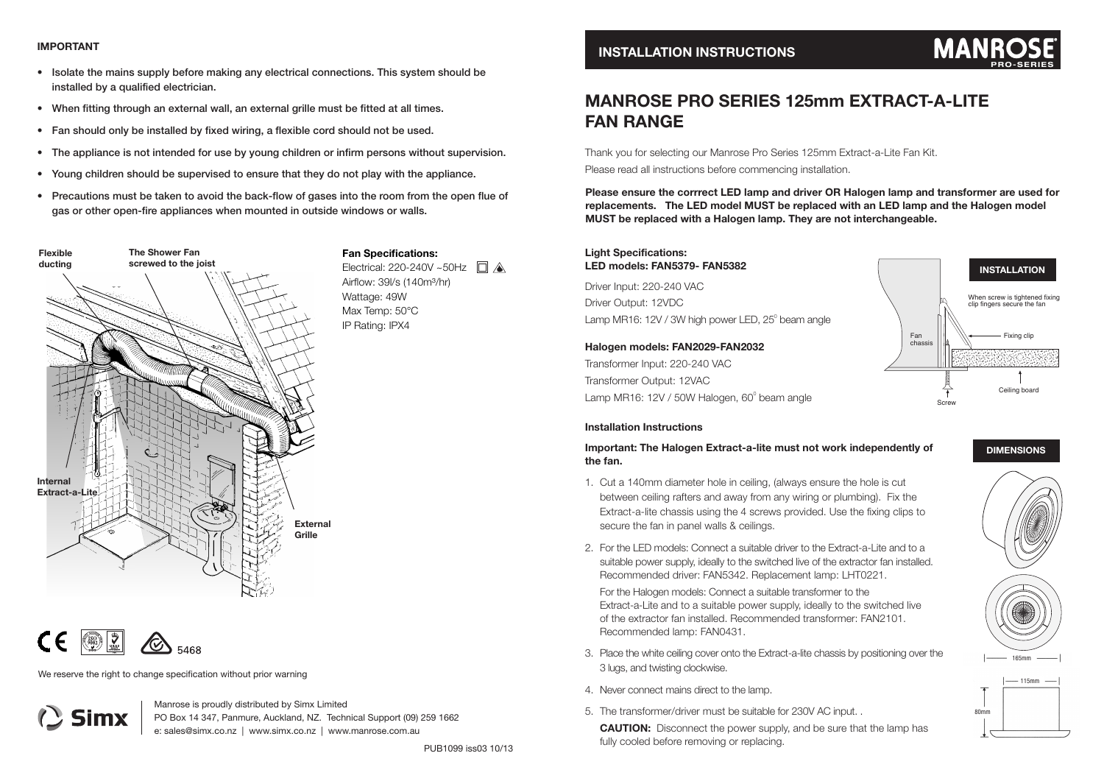#### **IMPORTANT**

- Isolate the mains supply before making any electrical connections. This system should be installed by a qualified electrician.
- When fitting through an external wall, an external grille must be fitted at all times.
- Fan should only be installed by fixed wiring, a flexible cord should not be used.
- The appliance is not intended for use by young children or infirm persons without supervision.
- Young children should be supervised to ensure that they do not play with the appliance.
- Precautions must be taken to avoid the back-flow of gases into the room from the open flue of gas or other open-fire appliances when mounted in outside windows or walls.





Simx

We reserve the right to change specification without prior warning

Manrose is proudly distributed by Simx Limited PO Box 14 347, Panmure, Auckland, NZ. Technical Support (09) 259 1662 e: sales@simx.co.nz | www.simx.co.nz | www.manrose.com.au

### **INSTALLATION INSTRUCTIONS**

## **MANR PRO-SERIES**

# **MANROSE PRO SERIES 125mm EXTRACT-A-LITE FAN RANGE**

Thank you for selecting our Manrose Pro Series 125mm Extract-a-Lite Fan Kit. Please read all instructions before commencing installation.

**Please ensure the corrrect LED lamp and driver OR Halogen lamp and transformer are used for replacements. The LED model MUST be replaced with an LED lamp and the Halogen model MUST be replaced with a Halogen lamp. They are not interchangeable.**

#### **Light Specifications: LED models: FAN5379- FAN5382**

Driver Input: 220-240 VAC Driver Output: 12VDC Lamp MR16: 12V / 3W high power LED,  $25^{\circ}$  beam angle

#### **Halogen models: FAN2029-FAN2032**

Transformer Input: 220-240 VAC Transformer Output: 12VAC Lamp MR16: 12V / 50W Halogen, 60 $^{\circ}$  beam angle

### When screw is tightened fixing clip fingers secure the fan Fan Fixing clip chassis Ceiling board ా Screw

#### **Installation Instructions**

**Important: The Halogen Extract-a-lite must not work independently of the fan.**

- 1. Cut a 140mm diameter hole in ceiling, (always ensure the hole is cut between ceiling rafters and away from any wiring or plumbing). Fix the Extract-a-lite chassis using the 4 screws provided. Use the fixing clips to secure the fan in panel walls & ceilings.
- 2. For the LED models: Connect a suitable driver to the Extract-a-Lite and to a suitable power supply, ideally to the switched live of the extractor fan installed Recommended driver: FAN5342. Replacement lamp: LHT0221.

For the Halogen models: Connect a suitable transformer to the Extract-a-Lite and to a suitable power supply, ideally to the switched live of the extractor fan installed. Recommended transformer: FAN2101. Recommended lamp: FAN0431.

- 3. Place the white ceiling cover onto the Extract-a-lite chassis by positioning over the 3 lugs, and twisting clockwise.
- 4. Never connect mains direct to the lamp.
- 5. The transformer/driver must be suitable for 230V AC input. .

**CAUTION:** Disconnect the power supply, and be sure that the lamp has fully cooled before removing or replacing.



**DIMENSIONS**

**INSTALLATION**